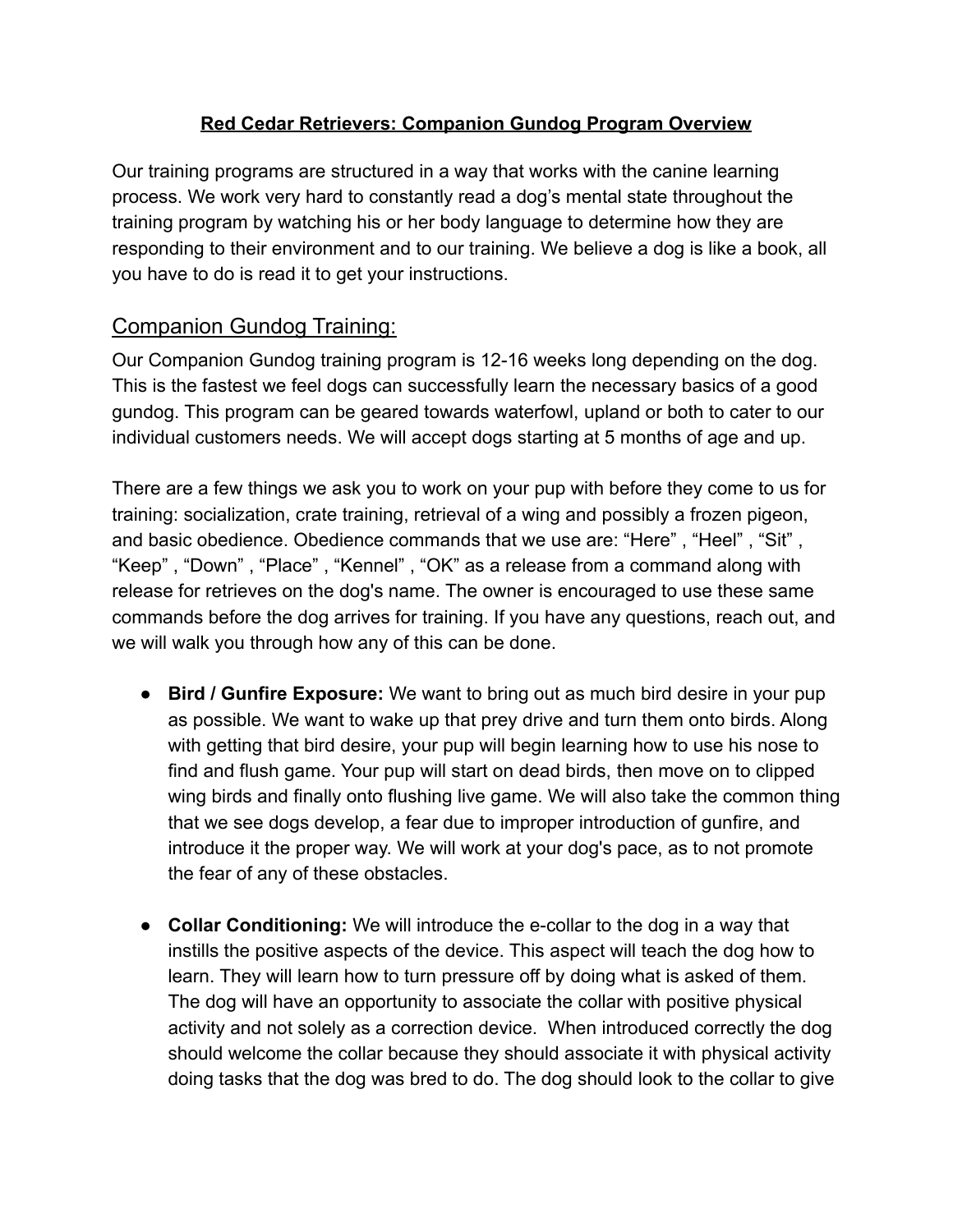## **Red Cedar Retrievers: Companion Gundog Program Overview**

Our training programs are structured in a way that works with the canine learning process. We work very hard to constantly read a dog's mental state throughout the training program by watching his or her body language to determine how they are responding to their environment and to our training. We believe a dog is like a book, all you have to do is read it to get your instructions.

## Companion Gundog Training:

Our Companion Gundog training program is 12-16 weeks long depending on the dog. This is the fastest we feel dogs can successfully learn the necessary basics of a good gundog. This program can be geared towards waterfowl, upland or both to cater to our individual customers needs. We will accept dogs starting at 5 months of age and up.

There are a few things we ask you to work on your pup with before they come to us for training: socialization, crate training, retrieval of a wing and possibly a frozen pigeon, and basic obedience. Obedience commands that we use are: "Here" , "Heel" , "Sit" , "Keep" , "Down" , "Place" , "Kennel" , "OK" as a release from a command along with release for retrieves on the dog's name. The owner is encouraged to use these same commands before the dog arrives for training. If you have any questions, reach out, and we will walk you through how any of this can be done.

- **Bird / Gunfire Exposure:** We want to bring out as much bird desire in your pup as possible. We want to wake up that prey drive and turn them onto birds. Along with getting that bird desire, your pup will begin learning how to use his nose to find and flush game. Your pup will start on dead birds, then move on to clipped wing birds and finally onto flushing live game. We will also take the common thing that we see dogs develop, a fear due to improper introduction of gunfire, and introduce it the proper way. We will work at your dog's pace, as to not promote the fear of any of these obstacles.
- **Collar Conditioning:** We will introduce the e-collar to the dog in a way that instills the positive aspects of the device. This aspect will teach the dog how to learn. They will learn how to turn pressure off by doing what is asked of them. The dog will have an opportunity to associate the collar with positive physical activity and not solely as a correction device. When introduced correctly the dog should welcome the collar because they should associate it with physical activity doing tasks that the dog was bred to do. The dog should look to the collar to give